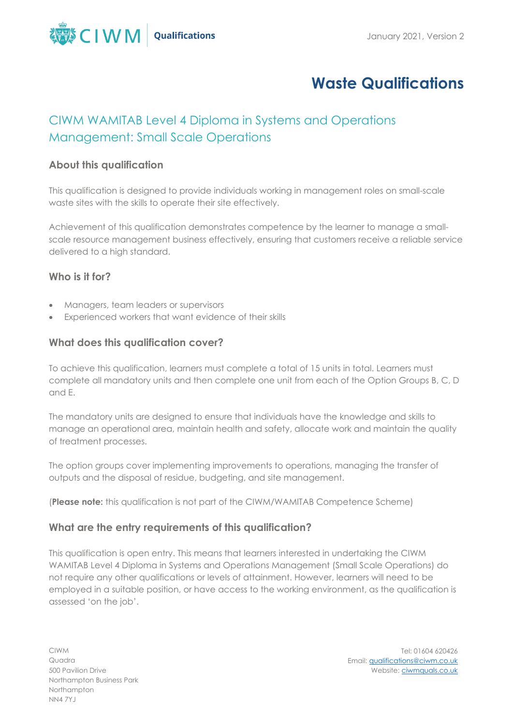

# **Waste Qualifications**

# CIWM WAMITAB Level 4 Diploma in Systems and Operations Management: Small Scale Operations

# **About this qualification**

This qualification is designed to provide individuals working in management roles on small-scale waste sites with the skills to operate their site effectively.

Achievement of this qualification demonstrates competence by the learner to manage a smallscale resource management business effectively, ensuring that customers receive a reliable service delivered to a high standard.

## **Who is it for?**

- Managers, team leaders or supervisors
- Experienced workers that want evidence of their skills

# **What does this qualification cover?**

To achieve this qualification, learners must complete a total of 15 units in total. Learners must complete all mandatory units and then complete one unit from each of the Option Groups B, C, D and E.

The mandatory units are designed to ensure that individuals have the knowledge and skills to manage an operational area, maintain health and safety, allocate work and maintain the quality of treatment processes.

The option groups cover implementing improvements to operations, managing the transfer of outputs and the disposal of residue, budgeting, and site management.

(**Please note:** this qualification is not part of the CIWM/WAMITAB Competence Scheme)

# **What are the entry requirements of this qualification?**

This qualification is open entry. This means that learners interested in undertaking the CIWM WAMITAB Level 4 Diploma in Systems and Operations Management (Small Scale Operations) do not require any other qualifications or levels of attainment. However, learners will need to be employed in a suitable position, or have access to the working environment, as the qualification is assessed 'on the job'.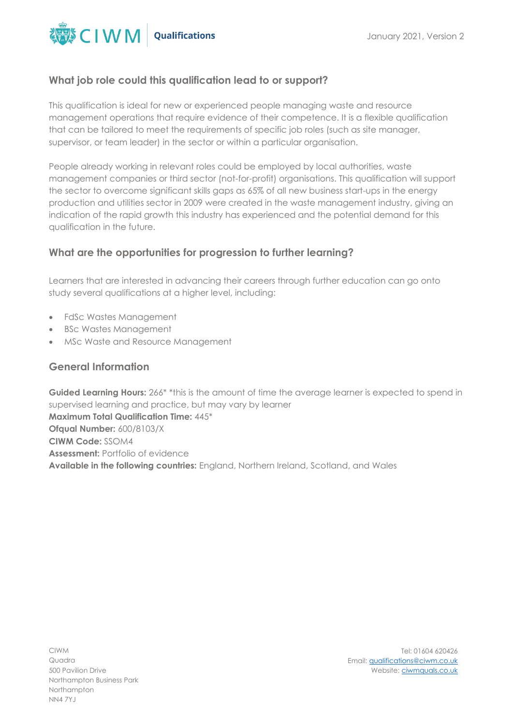

## **What job role could this qualification lead to or support?**

This qualification is ideal for new or experienced people managing waste and resource management operations that require evidence of their competence. It is a flexible qualification that can be tailored to meet the requirements of specific job roles (such as site manager, supervisor, or team leader) in the sector or within a particular organisation.

People already working in relevant roles could be employed by local authorities, waste management companies or third sector (not-for-profit) organisations. This qualification will support the sector to overcome significant skills gaps as 65% of all new business start-ups in the energy production and utilities sector in 2009 were created in the waste management industry, giving an indication of the rapid growth this industry has experienced and the potential demand for this qualification in the future.

## **What are the opportunities for progression to further learning?**

Learners that are interested in advancing their careers through further education can go onto study several qualifications at a higher level, including:

- FdSc Wastes Management
- BSc Wastes Management
- MSc Waste and Resource Management

#### **General Information**

**Guided Learning Hours:** 266\* \*this is the amount of time the average learner is expected to spend in supervised learning and practice, but may vary by learner **Maximum Total Qualification Time:** 445\* **Ofqual Number:** 600/8103/X **CIWM Code:** SSOM4 **Assessment:** Portfolio of evidence **Available in the following countries:** England, Northern Ireland, Scotland, and Wales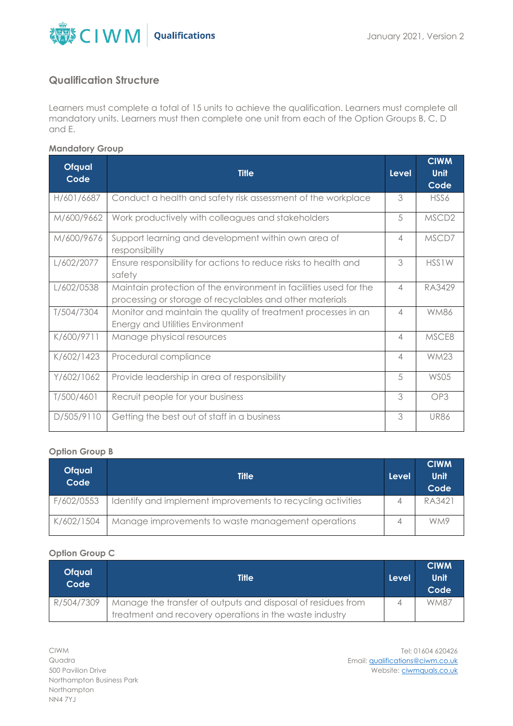

## **Qualification Structure**

Learners must complete a total of 15 units to achieve the qualification. Learners must complete all mandatory units. Learners must then complete one unit from each of the Option Groups B, C, D and E.

#### **Mandatory Group**

| <b>Ofqual</b><br>Code | <b>Title</b>                                                                                                                  | <b>Level</b>             | <b>CIWM</b><br>Unit |
|-----------------------|-------------------------------------------------------------------------------------------------------------------------------|--------------------------|---------------------|
|                       |                                                                                                                               |                          | Code                |
| H/601/6687            | Conduct a health and safety risk assessment of the workplace                                                                  | 3                        | HSS6                |
| M/600/9662            | Work productively with colleagues and stakeholders                                                                            | 5                        | MSCD <sub>2</sub>   |
| M/600/9676            | Support learning and development within own area of<br>responsibility                                                         | $\overline{4}$           | MSCD7               |
| L/602/2077            | Ensure responsibility for actions to reduce risks to health and<br>safety                                                     | 3                        | HSS1W               |
| L/602/0538            | Maintain protection of the environment in facilities used for the<br>processing or storage of recyclables and other materials | $\overline{\mathcal{A}}$ | RA3429              |
| T/504/7304            | Monitor and maintain the quality of treatment processes in an<br>Energy and Utilities Environment                             | $\overline{4}$           | <b>WM86</b>         |
| K/600/9711            | Manage physical resources                                                                                                     | $\overline{A}$           | MSCE8               |
| K/602/1423            | Procedural compliance                                                                                                         | $\overline{4}$           | <b>WM23</b>         |
| Y/602/1062            | Provide leadership in area of responsibility                                                                                  | 5                        | <b>WS05</b>         |
| T/500/4601            | Recruit people for your business                                                                                              | 3                        | OP3                 |
| D/505/9110            | Getting the best out of staff in a business                                                                                   | 3                        | <b>UR86</b>         |

#### **Option Group B**

| <b>Ofqual</b><br>Code | <b>Title</b>                                                | 'Level | <b>CIWM</b><br>Unit<br>Code |
|-----------------------|-------------------------------------------------------------|--------|-----------------------------|
| F/602/0553            | Identify and implement improvements to recycling activities |        | RA3421                      |
| K/602/1504            | Manage improvements to waste management operations          |        | WM9                         |

#### **Option Group C**

| <b>Ofqual</b><br>Code | <b>Title</b>                                                 | Level | <b>CIWM</b><br>Unit<br>Code |
|-----------------------|--------------------------------------------------------------|-------|-----------------------------|
| R/504/7309            | Manage the transfer of outputs and disposal of residues from |       | <b>WM87</b>                 |
|                       | treatment and recovery operations in the waste industry      |       |                             |

CIWM Quadra 500 Pavilion Drive Northampton Business Park Northampton NN4 7YJ

Tel: 01604 620426 Email[: qualifications@ciwm.co.uk](mailto:qualifications@ciwm.co.uk) Website: [ciwmquals.co.uk](https://www.ciwm.co.uk/ciwm/home/ciwm/default.aspx?hkey=95e241b6-a82d-4a99-aae0-a0f49b65d10b)